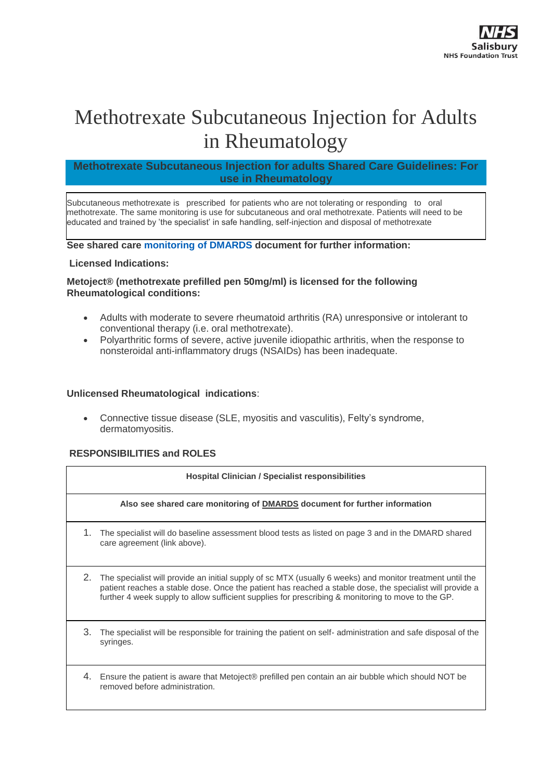# Methotrexate Subcutaneous Injection for Adults in Rheumatology

## **Methotrexate Subcutaneous Injection for adults Shared Care Guidelines: For use in Rheumatology**

Subcutaneous methotrexate is prescribed for patients who are not tolerating or responding to oral methotrexate. The same monitoring is use for subcutaneous and oral methotrexate. Patients will need to be educated and trained by 'the specialist' in safe handling, self-injection and disposal of methotrexate

#### **See shared care [monitoring of DMARDS](http://cmsdev-edcr:44006/MedicinesManagement/JointFormulary/Pages/MonitoringDiseaseModifyingDrugs(DMARDS)inAdults.aspx) document for further information:**

#### **Licensed Indications:**

#### **Metoject® (methotrexate prefilled pen 50mg/ml) is licensed for the following Rheumatological conditions:**

- Adults with moderate to severe rheumatoid arthritis (RA) unresponsive or intolerant to conventional therapy (i.e. oral methotrexate).
- Polyarthritic forms of severe, active juvenile idiopathic arthritis, when the response to nonsteroidal anti-inflammatory drugs (NSAIDs) has been inadequate.

#### **Unlicensed Rheumatological indications**:

 Connective tissue disease (SLE, myositis and vasculitis), Felty's syndrome, dermatomyositis.

#### **RESPONSIBILITIES and ROLES**

|                                                                            | <b>Hospital Clinician / Specialist responsibilities</b> |                                                                                                                                                                                                                                                                                                                             |  |  |  |
|----------------------------------------------------------------------------|---------------------------------------------------------|-----------------------------------------------------------------------------------------------------------------------------------------------------------------------------------------------------------------------------------------------------------------------------------------------------------------------------|--|--|--|
| Also see shared care monitoring of DMARDS document for further information |                                                         |                                                                                                                                                                                                                                                                                                                             |  |  |  |
|                                                                            | 1.                                                      | The specialist will do baseline assessment blood tests as listed on page 3 and in the DMARD shared<br>care agreement (link above).                                                                                                                                                                                          |  |  |  |
|                                                                            | 2.                                                      | The specialist will provide an initial supply of sc MTX (usually 6 weeks) and monitor treatment until the<br>patient reaches a stable dose. Once the patient has reached a stable dose, the specialist will provide a<br>further 4 week supply to allow sufficient supplies for prescribing & monitoring to move to the GP. |  |  |  |
|                                                                            | 3.                                                      | The specialist will be responsible for training the patient on self-administration and safe disposal of the<br>syringes.                                                                                                                                                                                                    |  |  |  |
|                                                                            | 4.                                                      | Ensure the patient is aware that Metoject® prefilled pen contain an air bubble which should NOT be<br>removed before administration.                                                                                                                                                                                        |  |  |  |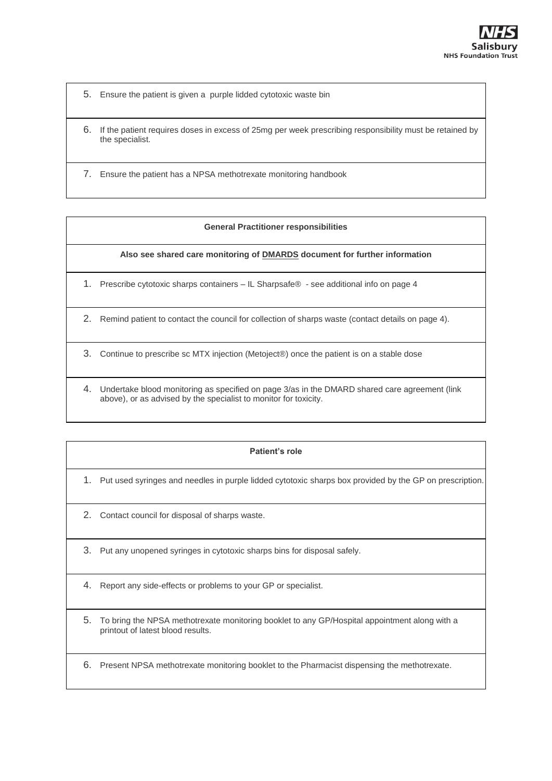- 5. Ensure the patient is given a purple lidded cytotoxic waste bin
- 6. If the patient requires doses in excess of 25mg per week prescribing responsibility must be retained by the specialist.
- 7. Ensure the patient has a NPSA methotrexate monitoring handbook

#### **General Practitioner responsibilities**

#### **Also see shared care monitoring of DMARDS document for further information**

- 1. Prescribe cytotoxic sharps containers IL Sharpsafe® see additional info on page 4
- 2. Remind patient to contact the council for collection of sharps waste (contact details on page 4).
- 3. Continue to prescribe sc MTX injection (Metoject®) once the patient is on a stable dose
- 4. Undertake blood monitoring as specified on page 3/as in the DMARD shared care agreement (link above), or as advised by the specialist to monitor for toxicity.

#### **Patient's role**

- 1. Put used syringes and needles in purple lidded cytotoxic sharps box provided by the GP on prescription.
- 2. Contact council for disposal of sharps waste.
- 3. Put any unopened syringes in cytotoxic sharps bins for disposal safely.
- 4. Report any side-effects or problems to your GP or specialist.
- 5. To bring the NPSA methotrexate monitoring booklet to any GP/Hospital appointment along with a printout of latest blood results.
- 6. Present NPSA methotrexate monitoring booklet to the Pharmacist dispensing the methotrexate.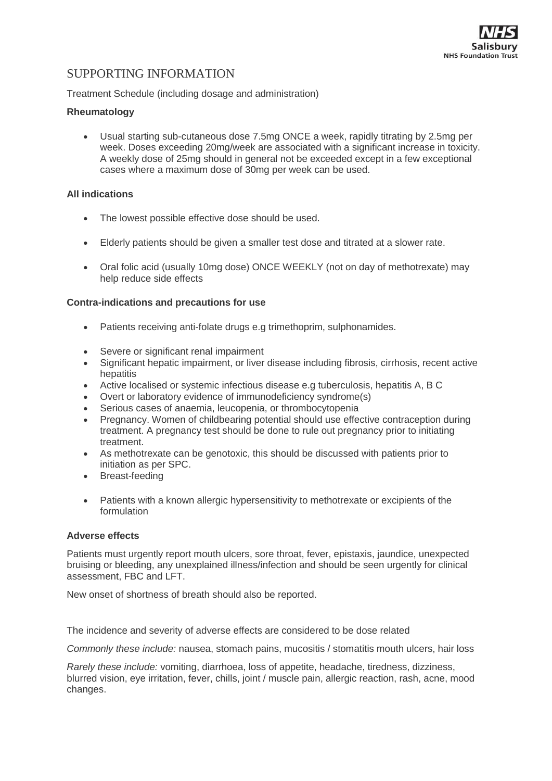## SUPPORTING INFORMATION

#### Treatment Schedule (including dosage and administration)

## **Rheumatology**

 Usual starting sub-cutaneous dose 7.5mg ONCE a week, rapidly titrating by 2.5mg per week. Doses exceeding 20mg/week are associated with a significant increase in toxicity. A weekly dose of 25mg should in general not be exceeded except in a few exceptional cases where a maximum dose of 30mg per week can be used.

#### **All indications**

- The lowest possible effective dose should be used.
- Elderly patients should be given a smaller test dose and titrated at a slower rate.
- Oral folic acid (usually 10mg dose) ONCE WEEKLY (not on day of methotrexate) may help reduce side effects

## **Contra-indications and precautions for use**

- Patients receiving anti-folate drugs e.g trimethoprim, sulphonamides.
- Severe or significant renal impairment
- Significant hepatic impairment, or liver disease including fibrosis, cirrhosis, recent active hepatitis
- Active localised or systemic infectious disease e.g tuberculosis, hepatitis A, B C
- Overt or laboratory evidence of immunodeficiency syndrome(s)
- Serious cases of anaemia, leucopenia, or thrombocytopenia
- Pregnancy. Women of childbearing potential should use effective contraception during treatment. A pregnancy test should be done to rule out pregnancy prior to initiating treatment.
- As methotrexate can be genotoxic, this should be discussed with patients prior to initiation as per SPC.
- Breast-feeding
- Patients with a known allergic hypersensitivity to methotrexate or excipients of the formulation

#### **Adverse effects**

Patients must urgently report mouth ulcers, sore throat, fever, epistaxis, jaundice, unexpected bruising or bleeding, any unexplained illness/infection and should be seen urgently for clinical assessment, FBC and LFT.

New onset of shortness of breath should also be reported.

The incidence and severity of adverse effects are considered to be dose related

*Commonly these include:* nausea, stomach pains, mucositis / stomatitis mouth ulcers, hair loss

*Rarely these include:* vomiting, diarrhoea, loss of appetite, headache, tiredness, dizziness, blurred vision, eye irritation, fever, chills, joint / muscle pain, allergic reaction, rash, acne, mood changes.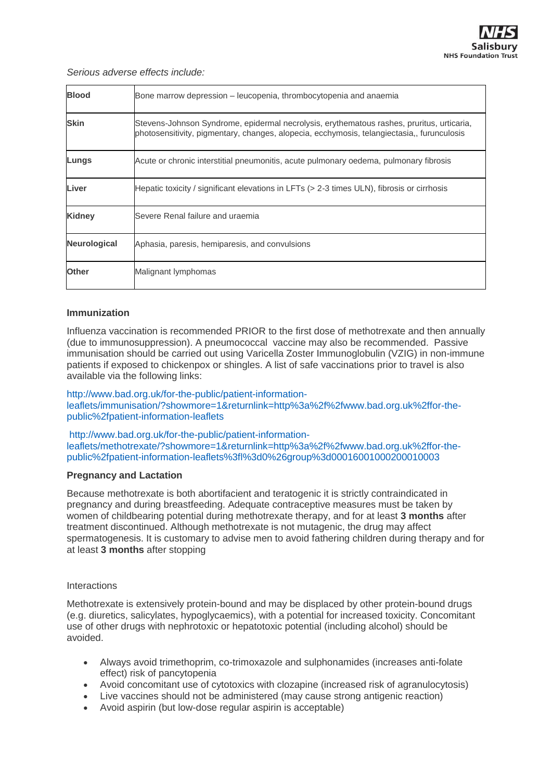#### *Serious adverse effects include:*

| <b>Blood</b> | Bone marrow depression – leucopenia, thrombocytopenia and anaemia                                                                                                                       |  |  |  |
|--------------|-----------------------------------------------------------------------------------------------------------------------------------------------------------------------------------------|--|--|--|
| <b>Skin</b>  | Stevens-Johnson Syndrome, epidermal necrolysis, erythematous rashes, pruritus, urticaria,<br>photosensitivity, pigmentary, changes, alopecia, ecchymosis, telangiectasia,, furunculosis |  |  |  |
| Lungs        | Acute or chronic interstitial pneumonitis, acute pulmonary oedema, pulmonary fibrosis                                                                                                   |  |  |  |
| Liver        | Hepatic toxicity / significant elevations in LFTs (> 2-3 times ULN), fibrosis or cirrhosis                                                                                              |  |  |  |
| Kidney       | Severe Renal failure and uraemia                                                                                                                                                        |  |  |  |
| Neurological | Aphasia, paresis, hemiparesis, and convulsions                                                                                                                                          |  |  |  |
| <b>Other</b> | Malignant lymphomas                                                                                                                                                                     |  |  |  |

#### **Immunization**

Influenza vaccination is recommended PRIOR to the first dose of methotrexate and then annually (due to immunosuppression). A pneumococcal vaccine may also be recommended. Passive immunisation should be carried out using Varicella Zoster Immunoglobulin (VZIG) in non-immune patients if exposed to chickenpox or shingles. A list of safe vaccinations prior to travel is also available via the following links:

[http://www.bad.org.uk/for-the-public/patient-information](http://www.bad.org.uk/for-the-public/patient-information-leaflets/immunisation/?showmore=1&returnlink=http%3a%2f%2fwww.bad.org.uk%2ffor-the-public%2fpatient-information-leaflets)[leaflets/immunisation/?showmore=1&returnlink=http%3a%2f%2fwww.bad.org.uk%2ffor-the](http://www.bad.org.uk/for-the-public/patient-information-leaflets/immunisation/?showmore=1&returnlink=http%3a%2f%2fwww.bad.org.uk%2ffor-the-public%2fpatient-information-leaflets)[public%2fpatient-information-leaflets](http://www.bad.org.uk/for-the-public/patient-information-leaflets/immunisation/?showmore=1&returnlink=http%3a%2f%2fwww.bad.org.uk%2ffor-the-public%2fpatient-information-leaflets)

[http://www.bad.org.uk/for-the-public/patient-information](http://www.bad.org.uk/for-the-public/patient-information-leaflets/methotrexate/?showmore=1&returnlink=http%3a%2f%2fwww.bad.org.uk%2ffor-the-public%2fpatient-information-leaflets%3fl%3d0%26group%3d00016001000200010003)[leaflets/methotrexate/?showmore=1&returnlink=http%3a%2f%2fwww.bad.org.uk%2ffor-the](http://www.bad.org.uk/for-the-public/patient-information-leaflets/methotrexate/?showmore=1&returnlink=http%3a%2f%2fwww.bad.org.uk%2ffor-the-public%2fpatient-information-leaflets%3fl%3d0%26group%3d00016001000200010003)[public%2fpatient-information-leaflets%3fl%3d0%26group%3d00016001000200010003](http://www.bad.org.uk/for-the-public/patient-information-leaflets/methotrexate/?showmore=1&returnlink=http%3a%2f%2fwww.bad.org.uk%2ffor-the-public%2fpatient-information-leaflets%3fl%3d0%26group%3d00016001000200010003)

## **Pregnancy and Lactation**

Because methotrexate is both abortifacient and teratogenic it is strictly contraindicated in pregnancy and during breastfeeding. Adequate contraceptive measures must be taken by women of childbearing potential during methotrexate therapy, and for at least **3 months** after treatment discontinued. Although methotrexate is not mutagenic, the drug may affect spermatogenesis. It is customary to advise men to avoid fathering children during therapy and for at least **3 months** after stopping

#### Interactions

Methotrexate is extensively protein-bound and may be displaced by other protein-bound drugs (e.g. diuretics, salicylates, hypoglycaemics), with a potential for increased toxicity. Concomitant use of other drugs with nephrotoxic or hepatotoxic potential (including alcohol) should be avoided.

- Always avoid trimethoprim, co-trimoxazole and sulphonamides (increases anti-folate effect) risk of pancytopenia
- Avoid concomitant use of cytotoxics with clozapine (increased risk of agranulocytosis)
- Live vaccines should not be administered (may cause strong antigenic reaction)
- Avoid aspirin (but low-dose regular aspirin is acceptable)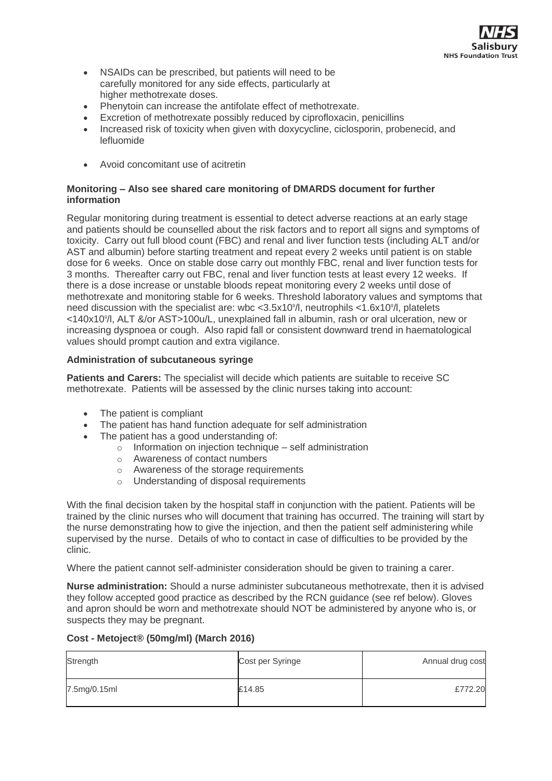

- NSAIDs can be prescribed, but patients will need to be carefully monitored for any side effects, particularly at higher methotrexate doses.
- Phenytoin can increase the antifolate effect of methotrexate.
- Excretion of methotrexate possibly reduced by ciprofloxacin, penicillins
- Increased risk of toxicity when given with doxycycline, ciclosporin, probenecid, and lefluomide
- Avoid concomitant use of acitretin

## **Monitoring – Also see shared care monitoring of DMARDS document for further information**

Regular monitoring during treatment is essential to detect adverse reactions at an early stage and patients should be counselled about the risk factors and to report all signs and symptoms of toxicity. Carry out full blood count (FBC) and renal and liver function tests (including ALT and/or AST and albumin) before starting treatment and repeat every 2 weeks until patient is on stable dose for 6 weeks. Once on stable dose carry out monthly FBC, renal and liver function tests for 3 months. Thereafter carry out FBC, renal and liver function tests at least every 12 weeks. If there is a dose increase or unstable bloods repeat monitoring every 2 weeks until dose of methotrexate and monitoring stable for 6 weeks. Threshold laboratory values and symptoms that need discussion with the specialist are: wbc <3.5x10<sup>9</sup> /l, neutrophils <1.6x10<sup>9</sup> /l, platelets <140x10<sup>9</sup> /l, ALT &/or AST>100u/L, unexplained fall in albumin, rash or oral ulceration, new or increasing dyspnoea or cough. Also rapid fall or consistent downward trend in haematological values should prompt caution and extra vigilance.

## **Administration of subcutaneous syringe**

**Patients and Carers:** The specialist will decide which patients are suitable to receive SC methotrexate. Patients will be assessed by the clinic nurses taking into account:

- The patient is compliant
- The patient has hand function adequate for self administration
- The patient has a good understanding of:
	- $\circ$  Information on injection technique self administration
	- o Awareness of contact numbers
	- o Awareness of the storage requirements
	- o Understanding of disposal requirements

With the final decision taken by the hospital staff in conjunction with the patient. Patients will be trained by the clinic nurses who will document that training has occurred. The training will start by the nurse demonstrating how to give the injection, and then the patient self administering while supervised by the nurse. Details of who to contact in case of difficulties to be provided by the clinic.

Where the patient cannot self-administer consideration should be given to training a carer.

**Nurse administration:** Should a nurse administer subcutaneous methotrexate, then it is advised they follow accepted good practice as described by the RCN guidance (see ref below). Gloves and apron should be worn and methotrexate should NOT be administered by anyone who is, or suspects they may be pregnant.

#### **Cost - Metoject® (50mg/ml) (March 2016)**

| Strength     | Cost per Syringe | Annual drug cost |
|--------------|------------------|------------------|
| 7.5mg/0.15ml | £14.85           | £772.20          |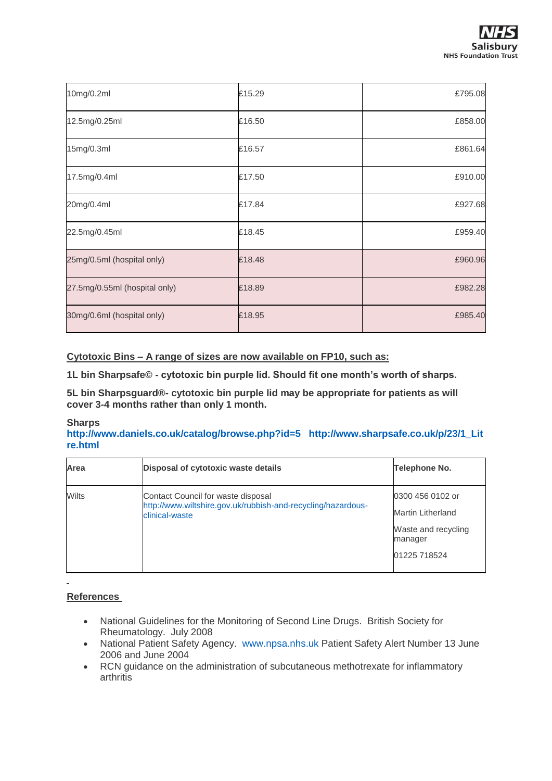| 10mg/0.2ml                    | £15.29 | £795.08 |
|-------------------------------|--------|---------|
| 12.5mg/0.25ml                 | £16.50 | £858.00 |
| 15mg/0.3ml                    | £16.57 | £861.64 |
| 17.5mg/0.4ml                  | £17.50 | £910.00 |
| 20mg/0.4ml                    | £17.84 | £927.68 |
| 22.5mg/0.45ml                 | £18.45 | £959.40 |
| 25mg/0.5ml (hospital only)    | £18.48 | £960.96 |
| 27.5mg/0.55ml (hospital only) | £18.89 | £982.28 |
| 30mg/0.6ml (hospital only)    | £18.95 | £985.40 |

## **Cytotoxic Bins – A range of sizes are now available on FP10, such as:**

**1L bin Sharpsafe© - cytotoxic bin purple lid. Should fit one month's worth of sharps.**

**5L bin Sharpsguard®- cytotoxic bin purple lid may be appropriate for patients as will cover 3-4 months rather than only 1 month.**

#### **Sharps**

## **<http://www.daniels.co.uk/catalog/browse.php?id=5>[http://www.sharpsafe.co.uk/p/23/1\\_Lit](http://www.sharpsafe.co.uk/p/23/1_Litre.html) [re.html](http://www.sharpsafe.co.uk/p/23/1_Litre.html)**

| Area         | Disposal of cytotoxic waste details                                            | Telephone No.                  |
|--------------|--------------------------------------------------------------------------------|--------------------------------|
| <b>Wilts</b> | Contact Council for waste disposal                                             | 0300 456 0102 or               |
|              | http://www.wiltshire.gov.uk/rubbish-and-recycling/hazardous-<br>clinical-waste | <b>Martin Litherland</b>       |
|              |                                                                                | Waste and recycling<br>manager |
|              |                                                                                | 01225 718524                   |

## **References**

- National Guidelines for the Monitoring of Second Line Drugs. British Society for Rheumatology. July 2008
- National Patient Safety Agency. [www.npsa.nhs.uk](http://www.npsa.nhs.uk/) Patient Safety Alert Number 13 June 2006 and June 2004
- RCN guidance on the administration of subcutaneous methotrexate for inflammatory **arthritis**